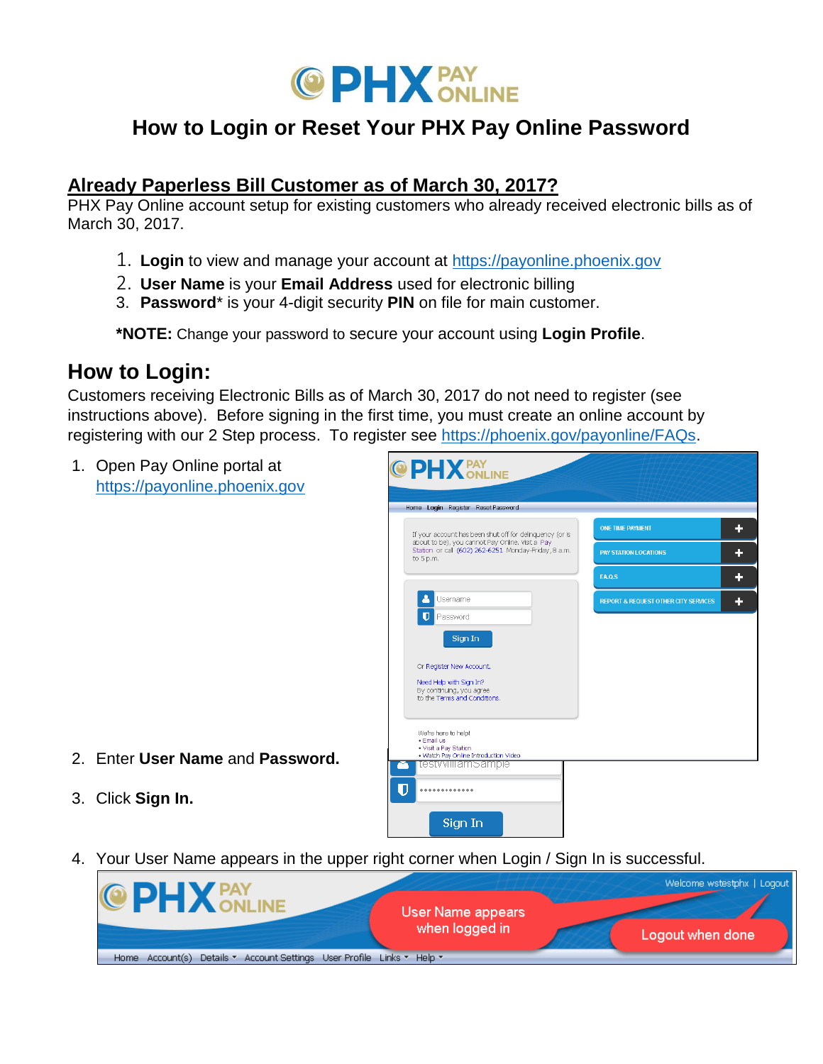

# **How to Login or Reset Your PHX Pay Online Password**

### **Already Paperless Bill Customer as of March 30, 2017?**

PHX Pay Online account setup for existing customers who already received electronic bills as of March 30, 2017.

- 1. **Login** to view and manage your account at [https://payonline.phoenix.gov](https://payonline.phoenix.gov/)
- 2. **User Name** is your **Email Address** used for electronic billing
- 3. **Password**\* is your 4-digit security **PIN** on file for main customer.

**\*NOTE:** Change your password to secure your account using **Login Profile**.

## **How to Login:**

Customers receiving Electronic Bills as of March 30, 2017 do not need to register (see instructions above). Before signing in the first time, you must create an online account by registering with our 2 Step process. To register see [https://phoenix.gov/payonline/FAQs.](https://phoenix.gov/payonline/FAQs)

1. Open Pay Online portal at [https://payonline.phoenix.gov](https://payonline.phoenix.gov/)

| If your account has been shut off for delinguency (or is                                                                | <b>ONE TIME PAYMENT</b>                         |
|-------------------------------------------------------------------------------------------------------------------------|-------------------------------------------------|
| about to be), you cannot Pay Online. Visit a Pay<br>Station or call (602) 262-6251 Monday-Friday, 8 a.m.<br>to $5 p.m.$ | <b>PAY STATION LOCATIONS</b>                    |
|                                                                                                                         | <b>EA.O.S</b>                                   |
| Username                                                                                                                | <b>REPORT &amp; REQUEST OTHER CITY SERVICES</b> |
| Ū<br>Password                                                                                                           |                                                 |
| Sign In                                                                                                                 |                                                 |
| Or Register New Account.                                                                                                |                                                 |
| Need Help with Sign In?                                                                                                 |                                                 |
| By continuing, you agree<br>to the Terms and Conditions.                                                                |                                                 |
|                                                                                                                         |                                                 |
| We're here to help!                                                                                                     |                                                 |
| · Email us<br>. Visit a Pay Station                                                                                     |                                                 |
| . Watch Pay Online Introduction Video                                                                                   |                                                 |

- 2. Enter **User Name** and **Password.**
- 3. Click **Sign In.**
- 4. Your User Name appears in the upper right corner when Login / Sign In is successful.

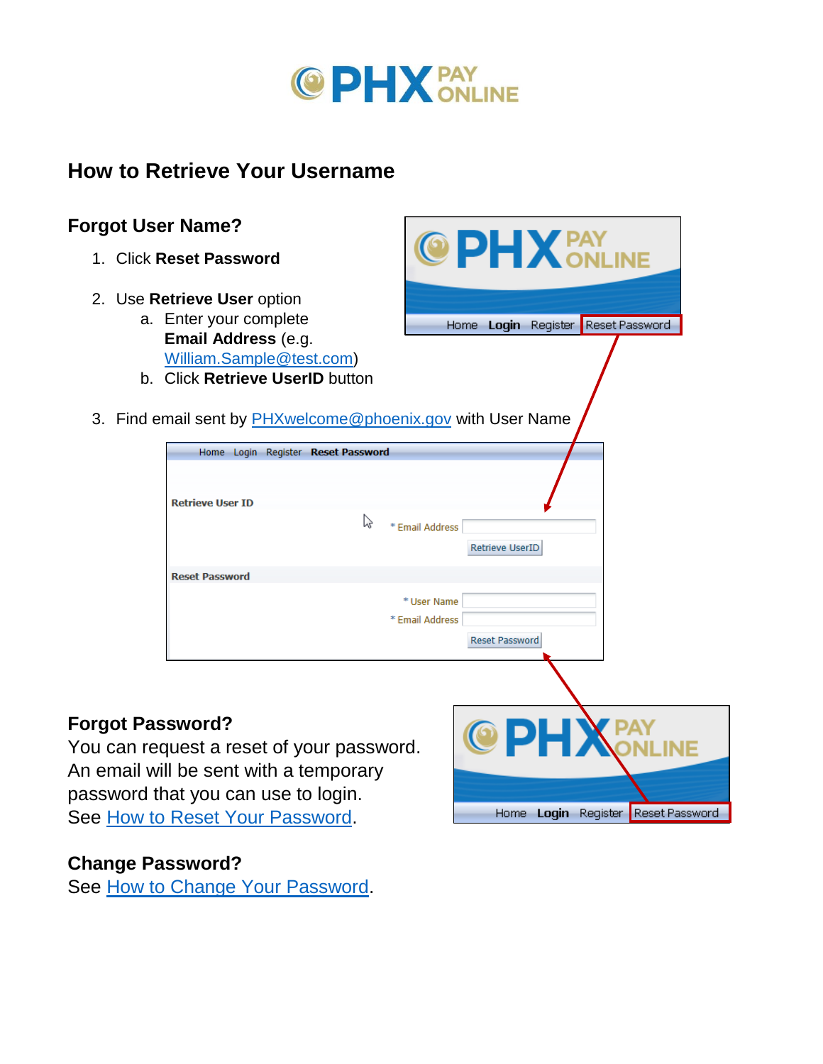

C

# **How to Retrieve Your Username**

## **Forgot User Name?**

- 1. Click **Reset Password**
- 2. Use **Retrieve User** option
	- a. Enter your complete **Email Address** (e.g. [William.Sample@test.com\)](mailto:William.Sample@test.com)
	- b. Click **Retrieve UserID** button
- 3. Find email sent by [PHXwelcome@phoenix.gov](mailto:PHXwelcome@phoenix.gov) with User Name

|                                    | <b>THAIR SERIE BY <u>ETTAWERORIC @ PHOEHIA.gov</u></b> with OSEFTVALITE |
|------------------------------------|-------------------------------------------------------------------------|
| Home Login Register Reset Password |                                                                         |
| <b>Retrieve User ID</b>            | hy<br>* Email Address<br>Retrieve UserID                                |
| <b>Reset Password</b>              |                                                                         |
|                                    | * User Name<br>* Email Address<br>Reset Password                        |

 $\mathbf{1} \mathbf{X}$  PAY

Reset Password

Home Login Register Reset Password

Home Login Register

### **Forgot Password?**

You can request a reset of your password. An email will be sent with a temporary password that you can use to login. See [How to Reset Your Password.](#page-2-0)

#### **Change Password?**

See [How to Change Your Password.](#page-3-0)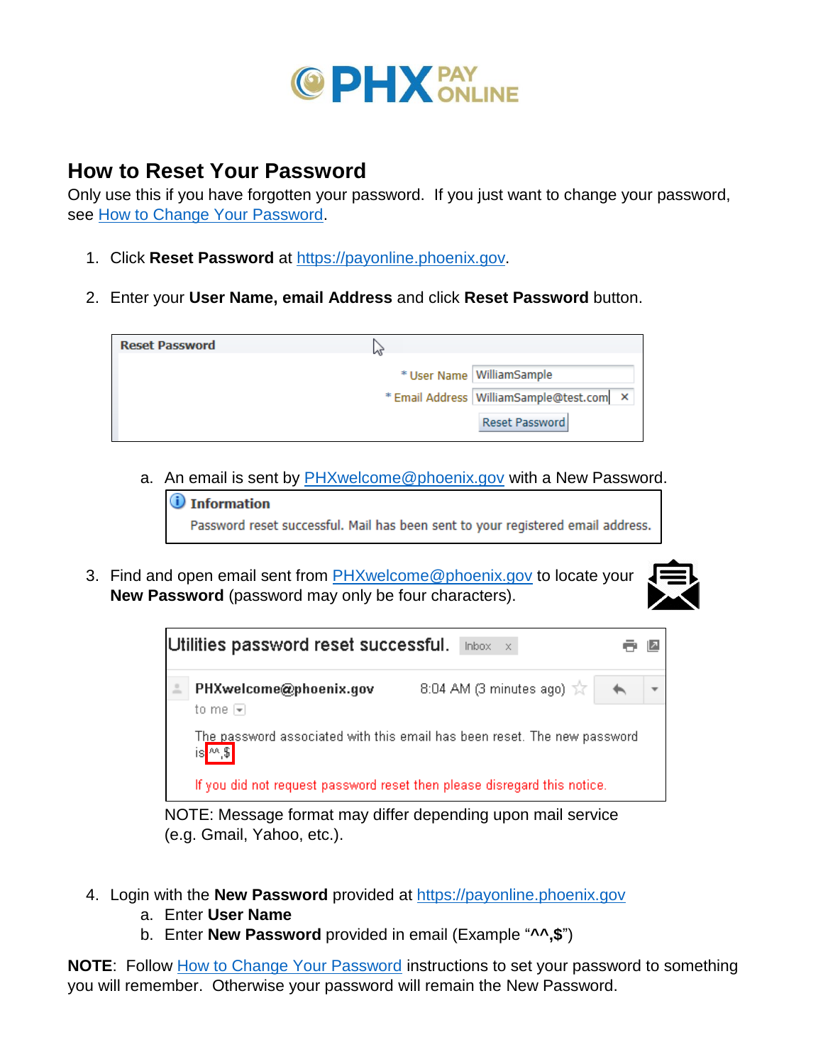

# <span id="page-2-0"></span>**How to Reset Your Password**

Only use this if you have forgotten your password. If you just want to change your password, see [How to Change Your Password.](#page-3-0)

- 1. Click **Reset Password** at [https://payonline.phoenix.gov.](https://payonline.phoenix.gov/)
- 2. Enter your **User Name, email Address** and click **Reset Password** button.

| <b>Reset Password</b> |                                            |                |
|-----------------------|--------------------------------------------|----------------|
|                       | * User Name   WilliamSample                |                |
|                       | * Email Address   WilliamSample@test.com X |                |
|                       |                                            | Reset Password |

a. An email is sent by [PHXwelcome@phoenix.gov](mailto:PHXwelcome@phoenix.gov) with a New Password.



3. Find and open email sent from **PHXwelcome@phoenix.gov** to locate your **New Password** (password may only be four characters).





NOTE: Message format may differ depending upon mail service (e.g. Gmail, Yahoo, etc.).

- 4. Login with the **New Password** provided at [https://payonline.phoenix.gov](https://payonline.phoenix.gov/)
	- a. Enter **User Name**
	- b. Enter **New Password** provided in email (Example "**^^,\$**")

**NOTE:** Follow [How to Change Your Password](#page-3-0) instructions to set your password to something you will remember. Otherwise your password will remain the New Password.